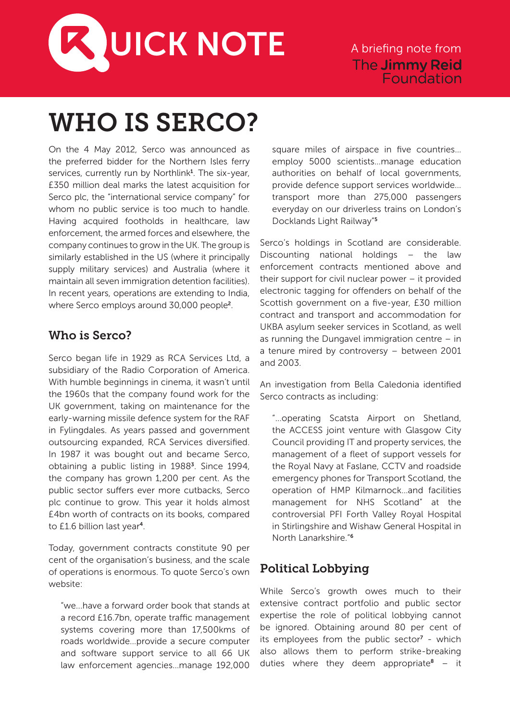

# WHO IS SERCO?

On the 4 May 2012, Serco was announced as the preferred bidder for the Northern Isles ferry services, currently run by Northlink<sup>1</sup>. The six-year, £350 million deal marks the latest acquisition for Serco plc, the "international service company" for whom no public service is too much to handle. Having acquired footholds in healthcare, law enforcement, the armed forces and elsewhere, the company continues to grow in the UK. The group is similarly established in the US (where it principally supply military services) and Australia (where it maintain all seven immigration detention facilities). In recent years, operations are extending to India, where Serco employs around 30,000 people<sup>2</sup>.

#### Who is Serco?

Serco began life in 1929 as RCA Services Ltd, a subsidiary of the Radio Corporation of America. With humble beginnings in cinema, it wasn't until the 1960s that the company found work for the UK government, taking on maintenance for the early-warning missile defence system for the RAF in Fylingdales. As years passed and government outsourcing expanded, RCA Services diversified. In 1987 it was bought out and became Serco, obtaining a public listing in 1988<sup>3</sup>. Since 1994, the company has grown 1,200 per cent. As the public sector suffers ever more cutbacks, Serco plc continue to grow. This year it holds almost £4bn worth of contracts on its books, compared to £1.6 billion last year4.

Today, government contracts constitute 90 per cent of the organisation's business, and the scale of operations is enormous. To quote Serco's own website:

"we...have a forward order book that stands at a record £16.7bn, operate traffic management systems covering more than 17,500kms of roads worldwide…provide a secure computer and software support service to all 66 UK law enforcement agencies…manage 192,000 square miles of airspace in five countries... employ 5000 scientists…manage education authorities on behalf of local governments, provide defence support services worldwide… transport more than 275,000 passengers everyday on our driverless trains on London's Docklands Light Railway"<sup>5</sup>

Serco's holdings in Scotland are considerable. Discounting national holdings – the law enforcement contracts mentioned above and their support for civil nuclear power – it provided electronic tagging for offenders on behalf of the Scottish government on a five-year, £30 million contract and transport and accommodation for UKBA asylum seeker services in Scotland, as well as running the Dungavel immigration centre – in a tenure mired by controversy – between 2001 and 2003.

An investigation from Bella Caledonia identified Serco contracts as including:

"…operating Scatsta Airport on Shetland, the ACCESS joint venture with Glasgow City Council providing IT and property services, the management of a fleet of support vessels for the Royal Navy at Faslane, CCTV and roadside emergency phones for Transport Scotland, the operation of HMP Kilmarnock…and facilities management for NHS Scotland" at the controversial PFI Forth Valley Royal Hospital in Stirlingshire and Wishaw General Hospital in North Lanarkshire."<sup>6</sup>

## Political Lobbying

While Serco's growth owes much to their extensive contract portfolio and public sector expertise the role of political lobbying cannot be ignored. Obtaining around 80 per cent of its employees from the public sector<sup>7</sup> - which also allows them to perform strike-breaking duties where they deem appropriate<sup>8</sup> – it